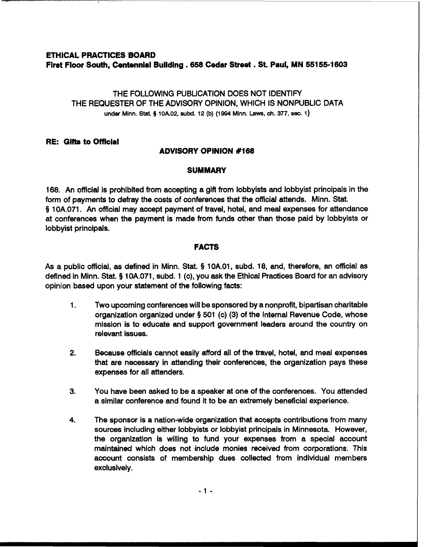# **ETHICAL PRACTICES BOARD First Floor South, Centennial Building .658 Cedar Street** . **St. Paul, MN 551 55-1 <sup>603</sup>**

THE FOLLOWING PUBLICATION DOES NOT IDENTIFY THE REQUESTER OF THE ADVISORY OPINION, WHICH IS NONPUBLIC DATA **under Minn.** Stat. **5** lOA02, **subd.** 12 (b) (1994 **Minn.** Laws, **ch. 377, sec.** 1)

# **RE: Gifts to Official**

# **ADVISORY OPINION #I68**

### **SUMMARY**

168. An official is prohibited from accepting a gift from lobbyists and lobbyist principals in the form of payments to defray the costs of conferences that the official attends. Minn. Stat. § 10A.071. An official may accept payment of travel, hotel, and meal expenses for attendance at conferences when the payment is made from funds other than those paid by lobbyists or lobbyist principals.

# **FACTS**

As a public official, as defined in Minn. Stat. § 1OA.01, subd. 18, and, therefore, an official as defined in Minn. Stat. **5** 10A.071, subd. 1 (c), you ask the Ethical Practices Board for an advisory opinion based upon your statement of the following facts:

- 1. Two upcoming conferences will be sponsored by a nonprofit, bipartisan charitable organization organized under § 501 (c) (3) of the Internal Revenue Code, whose mission is to educate and support government leaders around the country on relevant issues.
- **2.** Because officials cannot easily afford all of the travel, hotel, and meal expenses that are necessary in attending their conferences, the organization pays these expenses for all attenders.
- 3. You have been asked to be a speaker at one of the conferences. You attended a similar conference and found it to be an extremely beneficial experience.
- **4.** The sponsor is a nation-wide organization that accepts contributions from many sources including either lobbyists or lobbyist principals in Minnesota. However, the organization is willing to fund your expenses from a special account maintained which does not include monies received from corporations. This account consists of membership dues collected from individual members exclusively.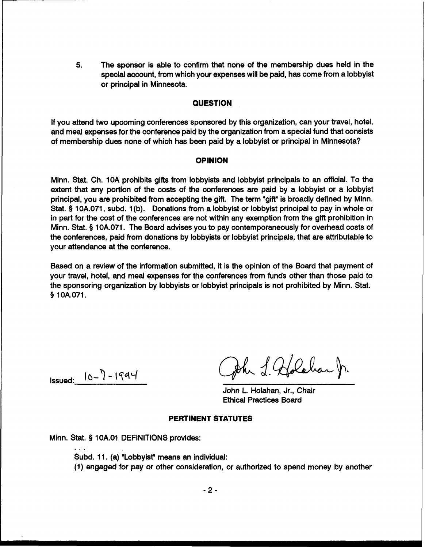**5.** The sponsor is able to confirm that none of the membership dues held in the special account, from which your expenses will be paid, has come from a lobbyist or principal in Minnesota.

#### **QUESTION**

If you attend two upcoming conferences sponsored by this organization, can your travel, hotel, and meal expenses for the conference paid by the organization from a special fund that consists of membership dues none of which has been paid by a lobbyist or principal in Minnesota?

#### **OPINION**

Minn. Stat. Ch. 10A prohibits gifts from lobbyists and lobbyist principals to an official. To the extent that any portion of the costs of the conferences are paid by a lobbyist or a lobbyist principal, you are prohibited from accepting the gift. The term 'gift" is broadly defined by Minn. Stat. § 10A.071, subd. 1 (b). Donations from a lobbyist or lobbyist principal to pay in whole or in part for the cost of the conferences are not within any exemption from the gift prohibition in Minn. Stat. **9** 10A.071. The Board advises you to pay contemporaneously for overhead costs of the conferences, paid from donations by lobbyists or lobbyist principals, that are attributable to your attendance at the conference.

Based on a review of the information submitted, it is the opinion of the Board that payment of your travel, hotel, and meal expenses for the conferences from funds other than those paid to the sponsoring organization by lobbyists or lobbyist principals is not prohibited by Minn. Stat. **9** 1 OA.071.

 $Issued: 10-7-1994$ 

John & Goldebau fr.

John L. Holahan, Jr., Chair Ethical Practices Board

#### **PERTINENT STATUTES**

Minn. Stat. **9** 1 OA.O1 DEFINITIONS provides:

Subd. 11. (a) "Lobbyist" means an individual:

(1) engaged for pay or other consideration, or authorized to spend money by another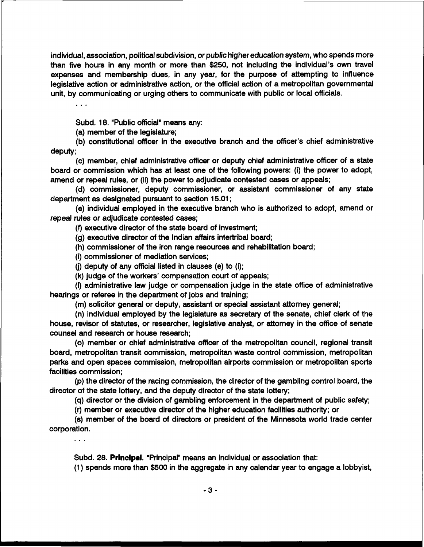individual, association, political subdivision, or public higher education system, who spends more than five hours in any month or more than \$250, not including the individual's own travel expenses and membership dues, in any year, for the purpose of attempting to influence legislative action or administrative action, or the official action of a metropolitan governmental unit, by communicating or urging others to communicate with public or local officials.

. . .

Subd. 18. "Public official" means any:

(a) member of the legislature;

(b) constitutional officer in the executive branch and the officer's chief administrative deputy;

(c) member, chief administrative officer or deputy chief administrative officer of a state board or commission which has at least one of the following powers: (i) the power to adopt, amend or repeal rules, or (ii) the power to adjudicate contested cases or appeals;

(d) commissioner, deputy commissioner, or assistant commissioner of any state department as designated pursuant to section 15.01 ;

(e) individual employed in the executive branch who is authorized to adopt, amend or repeal rules or adjudicate contested cases;

(9 executive director of the state board of investment;

(g) executive director of the Indian affairs intertribal board;

(h) commissioner of the iron range resources and rehabilitation board;

(i) commissioner of mediation services;

(j) deputy of any official listed in clauses (e) to (i);

(k) judge of the workers' compensation court of appeals;

(I) administrative law judge or compensation judge in the state office of administrative hearings or referee in the department of jobs and training;

(m) solicitor general or deputy, assistant or special assistant attorney general;

(n) individual employed by the legislature as secretary of the senate, chief clerk of the house, revisor of statutes, or researcher, legislative analyst, or attorney in the office of senate counsel and research or house research;

**(0)** member or chief administrative officer of the metropolitan council, regional transit board, metropolitan transit commission, metropolitan waste control commission, metropolitan parks and open spaces commission, metropolitan airports commission or metropolitan sports facilities commission;

(p) the director of the racing commission, the director of the gambling control board, the director of the state lottery, and the deputy director of the state lottery;

(q) director or the division of gambling enforcement in the department of public safety;

(r) member or executive director of the higher education facilities authority; or

(s) member of the board of directors or president of the Minnesota world trade center corporation.

 $\ddotsc$ 

Subd. 28. Principal. "Principal" means an individual or association that:

(1) spends more than \$500 in the aggregate in any calendar year to engage a lobbyist,